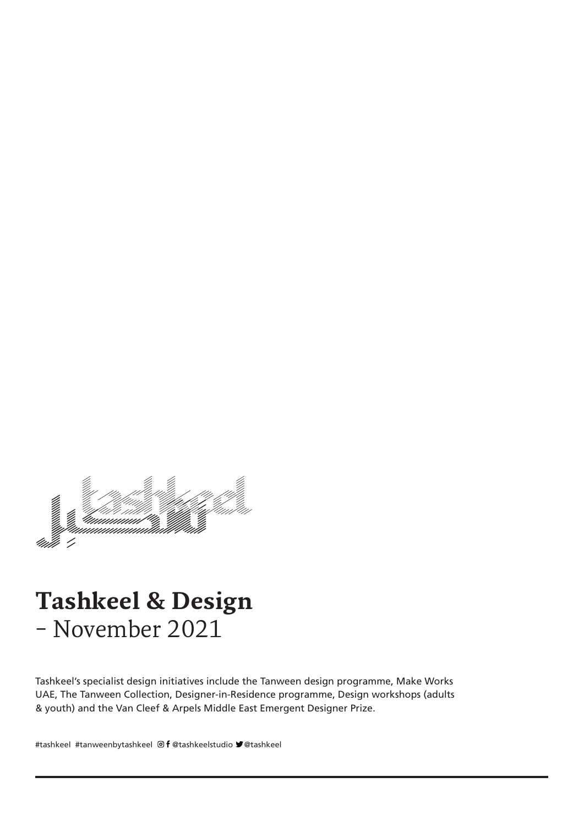

# **Tashkeel & Design** - November 2021

Tashkeel's specialist design initiatives include the Tanween design programme, Make Works UAE, The Tanween Collection, Designer-in-Residence programme, Design workshops (adults & youth) and the Van Cleef & Arpels Middle East Emergent Designer Prize.

#tashkeel #tanweenbytashkeel @f @tashkeelstudio " @tashkeel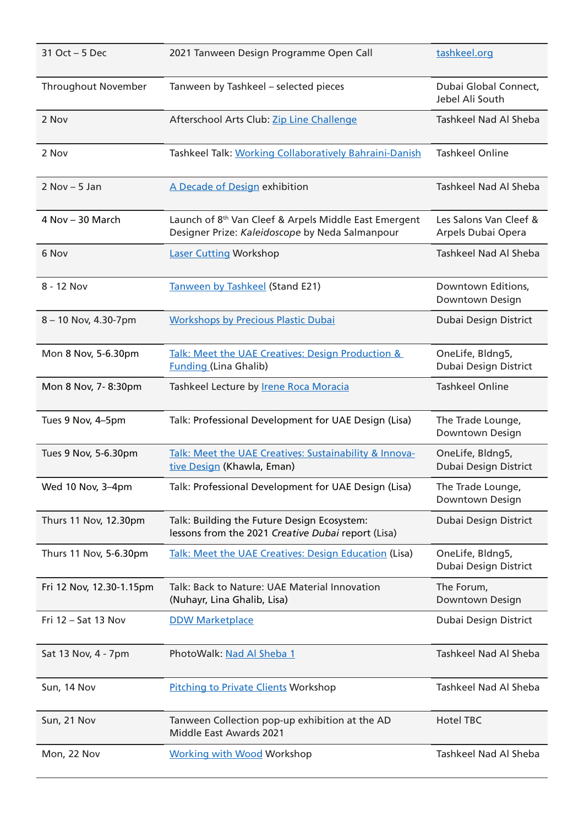| 31 Oct - 5 Dec             | 2021 Tanween Design Programme Open Call                                                                              | tashkeel.org                                 |
|----------------------------|----------------------------------------------------------------------------------------------------------------------|----------------------------------------------|
| <b>Throughout November</b> | Tanween by Tashkeel - selected pieces                                                                                | Dubai Global Connect,<br>Jebel Ali South     |
| 2 Nov                      | Afterschool Arts Club: Zip Line Challenge                                                                            | Tashkeel Nad Al Sheba                        |
| 2 Nov                      | Tashkeel Talk: Working Collaboratively Bahraini-Danish                                                               | <b>Tashkeel Online</b>                       |
| $2 Nov - 5 Jan$            | A Decade of Design exhibition                                                                                        | Tashkeel Nad Al Sheba                        |
| 4 Nov - 30 March           | Launch of 8 <sup>th</sup> Van Cleef & Arpels Middle East Emergent<br>Designer Prize: Kaleidoscope by Neda Salmanpour | Les Salons Van Cleef &<br>Arpels Dubai Opera |
| 6 Nov                      | <b>Laser Cutting Workshop</b>                                                                                        | <b>Tashkeel Nad Al Sheba</b>                 |
| 8 - 12 Nov                 | Tanween by Tashkeel (Stand E21)                                                                                      | Downtown Editions,<br>Downtown Design        |
| 8 - 10 Nov, 4.30-7pm       | <b>Workshops by Precious Plastic Dubai</b>                                                                           | Dubai Design District                        |
| Mon 8 Nov, 5-6.30pm        | Talk: Meet the UAE Creatives: Design Production &<br><b>Funding (Lina Ghalib)</b>                                    | OneLife, Bldng5,<br>Dubai Design District    |
| Mon 8 Nov, 7-8:30pm        | Tashkeel Lecture by <b>Irene Roca Moracia</b>                                                                        | <b>Tashkeel Online</b>                       |
| Tues 9 Nov, 4-5pm          | Talk: Professional Development for UAE Design (Lisa)                                                                 | The Trade Lounge,<br>Downtown Design         |
| Tues 9 Nov, 5-6.30pm       | Talk: Meet the UAE Creatives: Sustainability & Innova-<br>tive Design (Khawla, Eman)                                 | OneLife, Bldng5,<br>Dubai Design District    |
| Wed 10 Nov, 3-4pm          | Talk: Professional Development for UAE Design (Lisa)                                                                 | The Trade Lounge,<br>Downtown Design         |
| Thurs 11 Nov, 12.30pm      | Talk: Building the Future Design Ecosystem:<br>lessons from the 2021 Creative Dubai report (Lisa)                    | Dubai Design District                        |
| Thurs 11 Nov, 5-6.30pm     | Talk: Meet the UAE Creatives: Design Education (Lisa)                                                                | OneLife, Bldng5,<br>Dubai Design District    |
| Fri 12 Nov, 12.30-1.15pm   | Talk: Back to Nature: UAE Material Innovation<br>(Nuhayr, Lina Ghalib, Lisa)                                         | The Forum,<br>Downtown Design                |
| Fri 12 - Sat 13 Nov        | <b>DDW Marketplace</b>                                                                                               | Dubai Design District                        |
| Sat 13 Nov, 4 - 7pm        | PhotoWalk: Nad Al Sheba 1                                                                                            | <b>Tashkeel Nad Al Sheba</b>                 |
| Sun, 14 Nov                | <b>Pitching to Private Clients Workshop</b>                                                                          | <b>Tashkeel Nad Al Sheba</b>                 |
| Sun, 21 Nov                | Tanween Collection pop-up exhibition at the AD<br>Middle East Awards 2021                                            | <b>Hotel TBC</b>                             |
| Mon, 22 Nov                | <b>Working with Wood Workshop</b>                                                                                    | Tashkeel Nad Al Sheba                        |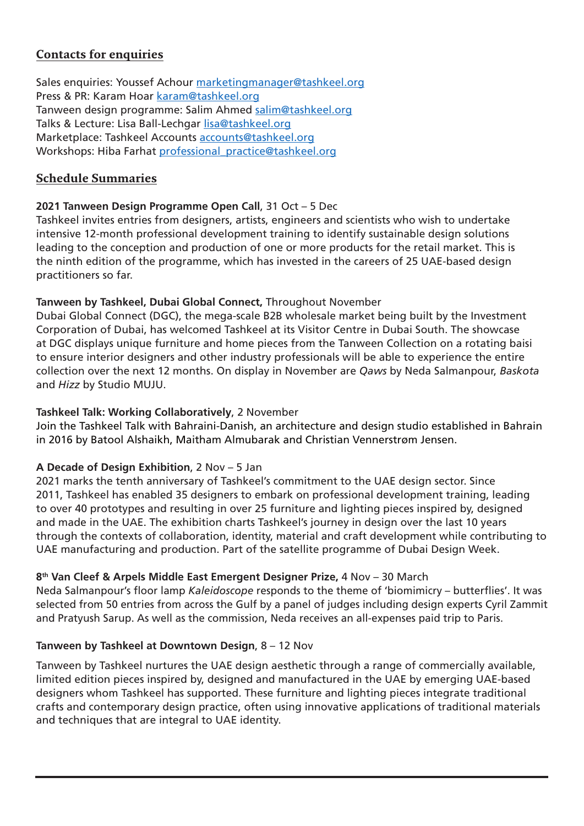## **Contacts for enquiries**

Sales enquiries: Youssef Achour marketingmanager@tashkeel.org Press & PR: Karam Hoar karam@tashkeel.org Tanween design programme: Salim Ahmed salim@tashkeel.org Talks & Lecture: Lisa Ball-Lechgar lisa@tashkeel.org Marketplace: Tashkeel Accounts accounts@tashkeel.org Workshops: Hiba Farhat professional practice@tashkeel.org

## **Schedule Summaries**

## 2021 Tanween Design Programme Open Call, 31 Oct - 5 Dec

Tashkeel invites entries from designers, artists, engineers and scientists who wish to undertake intensive 12-month professional development training to identify sustainable design solutions leading to the conception and production of one or more products for the retail market. This is the ninth edition of the programme, which has invested in the careers of 25 UAE-based design practitioners so far.

## Tanween by Tashkeel, Dubai Global Connect, Throughout November

Dubai Global Connect (DGC), the mega-scale B2B wholesale market being built by the Investment Corporation of Dubai, has welcomed Tashkeel at its Visitor Centre in Dubai South. The showcase at DGC displays unique furniture and home pieces from the Tanween Collection on a rotating baisi to ensure interior designers and other industry professionals will be able to experience the entire collection over the next 12 months. On display in November are *Qaws* by Neda Salmanpour, Baskota and *Hizz* by Studio MUJU.

#### Tashkeel Talk: Working Collaboratively, 2 November

Join the Tashkeel Talk with Bahraini-Danish, an architecture and design studio established in Bahrain in 2016 by Batool Alshaikh, Maitham Almubarak and Christian Vennerstrøm Jensen.

## A Decade of Design Exhibition, 2 Nov - 5 Jan

2021 marks the tenth anniversary of Tashkeel's commitment to the UAE design sector. Since 2011, Tashkeel has enabled 35 designers to embark on professional development training, leading to over 40 prototypes and resulting in over 25 furniture and lighting pieces inspired by, designed and made in the UAE. The exhibition charts Tashkeel's journey in design over the last 10 years through the contexts of collaboration, identity, material and craft development while contributing to UAE manufacturing and production. Part of the satellite programme of Dubai Design Week.

## 8<sup>th</sup> Van Cleef & Arpels Middle East Emergent Designer Prize, 4 Nov – 30 March

Neda Salmanpour's floor lamp Kaleidoscope responds to the theme of 'biomimicry – butterflies'. It was selected from 50 entries from across the Gulf by a panel of judges including design experts Cyril Zammit and Pratyush Sarup. As well as the commission, Neda receives an all-expenses paid trip to Paris.

## **Tanween by Tashkeel at Downtown Design, 8 – 12 Nov**

Tanween by Tashkeel nurtures the UAE design aesthetic through a range of commercially available, limited edition pieces inspired by, designed and manufactured in the UAE by emerging UAE-based designers whom Tashkeel has supported. These furniture and lighting pieces integrate traditional crafts and contemporary design practice, often using innovative applications of traditional materials and techniques that are integral to UAE identity.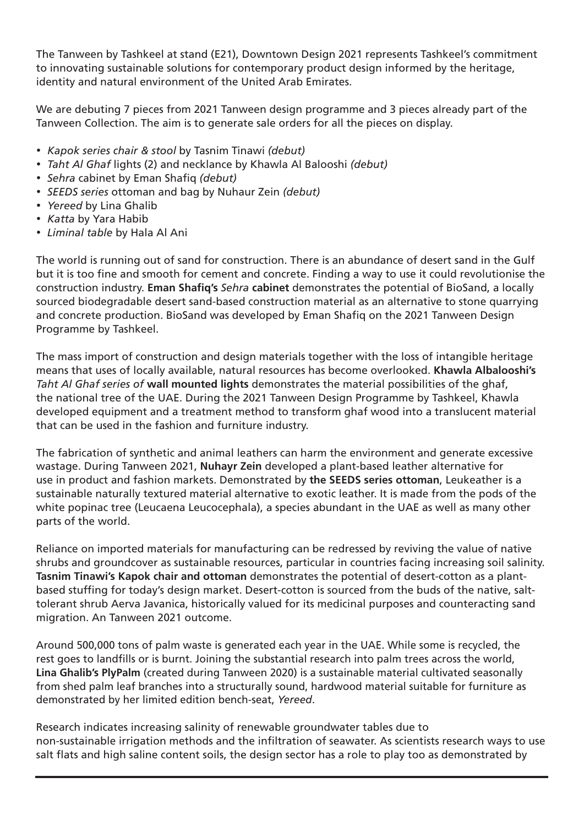The Tanween by Tashkeel at stand (E21), Downtown Design 2021 represents Tashkeel's commitment to innovating sustainable solutions for contemporary product design informed by the heritage, identity and natural environment of the United Arab Emirates.

We are debuting 7 pieces from 2021 Tanween design programme and 3 pieces already part of the Tanween Collection. The aim is to generate sale orders for all the pieces on display.

- *Kapok series chair & stool* by Tasnim Tinawi (debut)
- Taht Al Ghaf lights (2) and necklance by Khawla Al Balooshi (debut)
- Sehra cabinet by Eman Shafig (debut)
- SEEDS series ottoman and bag by Nuhaur Zein (debut)
- *Yereed* by Lina Ghalib
- Katta by Yara Habib
- Liminal table by Hala Al Ani

The world is running out of sand for construction. There is an abundance of desert sand in the Gulf but it is too fine and smooth for cement and concrete. Finding a way to use it could revolutionise the construction industry. **Eman Shafiq's** Sehra **cabinet** demonstrates the potential of BioSand, a locally sourced biodegradable desert sand-based construction material as an alternative to stone quarrying and concrete production. BioSand was developed by Eman Shafiq on the 2021 Tanween Design Programme by Tashkeel.

The mass import of construction and design materials together with the loss of intangible heritage means that uses of locally available, natural resources has become overlooked. **Khawla Albalooshi's** Taht AI Ghaf series of wall mounted lights demonstrates the material possibilities of the ghaf, the national tree of the UAE. During the 2021 Tanween Design Programme by Tashkeel, Khawla developed equipment and a treatment method to transform ghaf wood into a translucent material that can be used in the fashion and furniture industry.

The fabrication of synthetic and animal leathers can harm the environment and generate excessive wastage. During Tanween 2021, Nuhayr Zein developed a plant-based leather alternative for use in product and fashion markets. Demonstrated by the SEEDS series ottoman, Leukeather is a sustainable naturally textured material alternative to exotic leather. It is made from the pods of the white popinac tree (Leucaena Leucocephala), a species abundant in the UAE as well as many other parts of the world.

Reliance on imported materials for manufacturing can be redressed by reviving the value of native shrubs and groundcover as sustainable resources, particular in countries facing increasing soil salinity. tolerant shrub Aerva Javanica, historically valued for its medicinal purposes and counteracting sand based stuffing for today's design market. Desert-cotton is sourced from the buds of the native, salt-**Tasnim Tinawi's Kapok chair and ottoman** demonstrates the potential of desert-cotton as a plantmigration. An Tanween 2021 outcome.

Around 500,000 tons of palm waste is generated each year in the UAE. While some is recycled, the rest goes to landfills or is burnt. Joining the substantial research into palm trees across the world, Lina Ghalib's PlyPalm (created during Tanween 2020) is a sustainable material cultivated seasonally from shed palm leaf branches into a structurally sound, hardwood material suitable for furniture as demonstrated by her limited edition bench-seat, Yereed.

Research indicates increasing salinity of renewable groundwater tables due to non-sustainable irrigation methods and the infiltration of seawater. As scientists research ways to use salt flats and high saline content soils, the design sector has a role to play too as demonstrated by